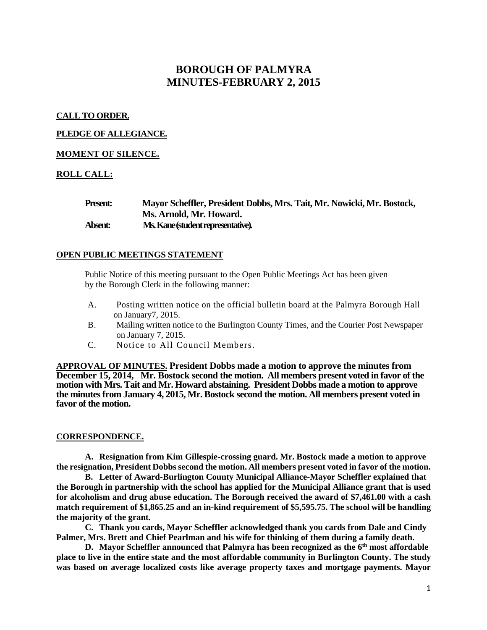# **BOROUGH OF PALMYRA MINUTES-FEBRUARY 2, 2015**

# **CALL TO ORDER.**

### **PLEDGE OF ALLEGIANCE.**

### **MOMENT OF SILENCE.**

### **ROLL CALL:**

| <b>Present:</b> | Mayor Scheffler, President Dobbs, Mrs. Tait, Mr. Nowicki, Mr. Bostock, |
|-----------------|------------------------------------------------------------------------|
|                 | Ms. Arnold, Mr. Howard.                                                |
| Absent:         | Ms. Kane (student representative).                                     |

#### **OPEN PUBLIC MEETINGS STATEMENT**

Public Notice of this meeting pursuant to the Open Public Meetings Act has been given by the Borough Clerk in the following manner:

- A. Posting written notice on the official bulletin board at the Palmyra Borough Hall on January7, 2015.
- B. Mailing written notice to the Burlington County Times, and the Courier Post Newspaper on January 7, 2015.
- C. Notice to All Council Members.

**APPROVAL OF MINUTES. President Dobbs made a motion to approve the minutes from December 15, 2014, Mr. Bostock second the motion. All members present voted in favor of the motion with Mrs. Tait and Mr. Howard abstaining. President Dobbs made a motion to approve the minutes from January 4, 2015, Mr. Bostock second the motion. All members present voted in favor of the motion.** 

#### **CORRESPONDENCE.**

**A. Resignation from Kim Gillespie-crossing guard. Mr. Bostock made a motion to approve the resignation, President Dobbs second the motion. All members present voted in favor of the motion.** 

**B. Letter of Award-Burlington County Municipal Alliance-Mayor Scheffler explained that the Borough in partnership with the school has applied for the Municipal Alliance grant that is used for alcoholism and drug abuse education. The Borough received the award of \$7,461.00 with a cash match requirement of \$1,865.25 and an in-kind requirement of \$5,595.75. The school will be handling the majority of the grant.** 

**C. Thank you cards, Mayor Scheffler acknowledged thank you cards from Dale and Cindy Palmer, Mrs. Brett and Chief Pearlman and his wife for thinking of them during a family death.** 

**D. Mayor Scheffler announced that Palmyra has been recognized as the 6th most affordable place to live in the entire state and the most affordable community in Burlington County. The study was based on average localized costs like average property taxes and mortgage payments. Mayor**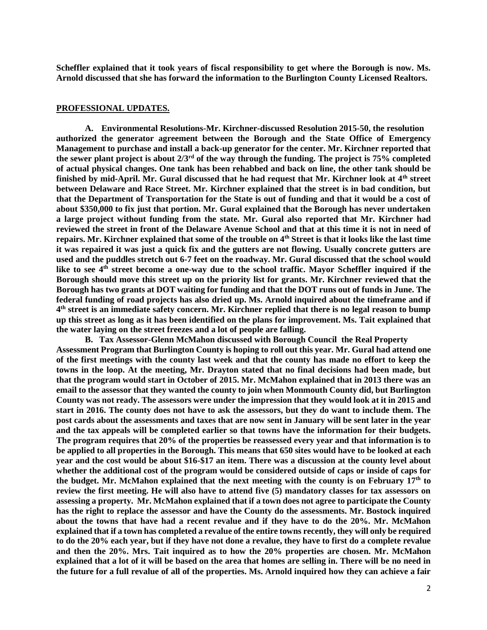**Scheffler explained that it took years of fiscal responsibility to get where the Borough is now. Ms. Arnold discussed that she has forward the information to the Burlington County Licensed Realtors.**

# **PROFESSIONAL UPDATES.**

**A. Environmental Resolutions-Mr. Kirchner-discussed Resolution 2015-50, the resolution authorized the generator agreement between the Borough and the State Office of Emergency Management to purchase and install a back-up generator for the center. Mr. Kirchner reported that the sewer plant project is about 2/3rd of the way through the funding. The project is 75% completed of actual physical changes. One tank has been rehabbed and back on line, the other tank should be finished by mid-April. Mr. Gural discussed that he had request that Mr. Kirchner look at 4th street between Delaware and Race Street. Mr. Kirchner explained that the street is in bad condition, but that the Department of Transportation for the State is out of funding and that it would be a cost of about \$350,000 to fix just that portion. Mr. Gural explained that the Borough has never undertaken a large project without funding from the state. Mr. Gural also reported that Mr. Kirchner had reviewed the street in front of the Delaware Avenue School and that at this time it is not in need of repairs. Mr. Kirchner explained that some of the trouble on 4th Street is that it looks like the last time it was repaired it was just a quick fix and the gutters are not flowing. Usually concrete gutters are used and the puddles stretch out 6-7 feet on the roadway. Mr. Gural discussed that the school would like to see 4th street become a one-way due to the school traffic. Mayor Scheffler inquired if the Borough should move this street up on the priority list for grants. Mr. Kirchner reviewed that the Borough has two grants at DOT waiting for funding and that the DOT runs out of funds in June. The federal funding of road projects has also dried up. Ms. Arnold inquired about the timeframe and if 4 th street is an immediate safety concern. Mr. Kirchner replied that there is no legal reason to bump up this street as long as it has been identified on the plans for improvement. Ms. Tait explained that the water laying on the street freezes and a lot of people are falling.** 

**B. Tax Assessor-Glenn McMahon discussed with Borough Council the Real Property Assessment Program that Burlington County is hoping to roll out this year. Mr. Gural had attend one of the first meetings with the county last week and that the county has made no effort to keep the towns in the loop. At the meeting, Mr. Drayton stated that no final decisions had been made, but that the program would start in October of 2015. Mr. McMahon explained that in 2013 there was an email to the assessor that they wanted the county to join when Monmouth County did, but Burlington County was not ready. The assessors were under the impression that they would look at it in 2015 and start in 2016. The county does not have to ask the assessors, but they do want to include them. The post cards about the assessments and taxes that are now sent in January will be sent later in the year and the tax appeals will be completed earlier so that towns have the information for their budgets. The program requires that 20% of the properties be reassessed every year and that information is to be applied to all properties in the Borough. This means that 650 sites would have to be looked at each year and the cost would be about \$16-\$17 an item. There was a discussion at the county level about whether the additional cost of the program would be considered outside of caps or inside of caps for the budget. Mr. McMahon explained that the next meeting with the county is on February 17th to review the first meeting. He will also have to attend five (5) mandatory classes for tax assessors on assessing a property. Mr. McMahon explained that if a town does not agree to participate the County has the right to replace the assessor and have the County do the assessments. Mr. Bostock inquired about the towns that have had a recent revalue and if they have to do the 20%. Mr. McMahon explained that if a town has completed a revalue of the entire towns recently, they will only be required to do the 20% each year, but if they have not done a revalue, they have to first do a complete revalue and then the 20%. Mrs. Tait inquired as to how the 20% properties are chosen. Mr. McMahon explained that a lot of it will be based on the area that homes are selling in. There will be no need in the future for a full revalue of all of the properties. Ms. Arnold inquired how they can achieve a fair**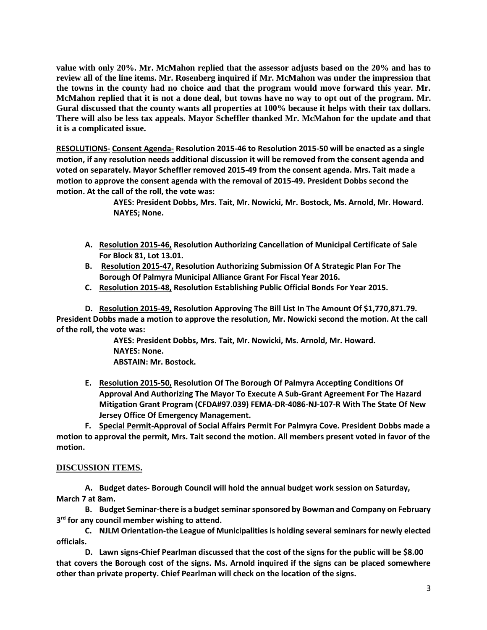**value with only 20%. Mr. McMahon replied that the assessor adjusts based on the 20% and has to review all of the line items. Mr. Rosenberg inquired if Mr. McMahon was under the impression that the towns in the county had no choice and that the program would move forward this year. Mr. McMahon replied that it is not a done deal, but towns have no way to opt out of the program. Mr. Gural discussed that the county wants all properties at 100% because it helps with their tax dollars. There will also be less tax appeals. Mayor Scheffler thanked Mr. McMahon for the update and that it is a complicated issue.**

**RESOLUTIONS- Consent Agenda- Resolution 2015-46 to Resolution 2015-50 will be enacted as a single motion, if any resolution needs additional discussion it will be removed from the consent agenda and voted on separately. Mayor Scheffler removed 2015-49 from the consent agenda. Mrs. Tait made a motion to approve the consent agenda with the removal of 2015-49. President Dobbs second the motion. At the call of the roll, the vote was:**

> **AYES: President Dobbs, Mrs. Tait, Mr. Nowicki, Mr. Bostock, Ms. Arnold, Mr. Howard. NAYES; None.**

- **A. Resolution 2015-46, Resolution Authorizing Cancellation of Municipal Certificate of Sale For Block 81, Lot 13.01.**
- **B. Resolution 2015-47, Resolution Authorizing Submission Of A Strategic Plan For The Borough Of Palmyra Municipal Alliance Grant For Fiscal Year 2016.**
- **C. Resolution 2015-48, Resolution Establishing Public Official Bonds For Year 2015.**

**D. Resolution 2015-49, Resolution Approving The Bill List In The Amount Of \$1,770,871.79. President Dobbs made a motion to approve the resolution, Mr. Nowicki second the motion. At the call of the roll, the vote was:**

> **AYES: President Dobbs, Mrs. Tait, Mr. Nowicki, Ms. Arnold, Mr. Howard. NAYES: None. ABSTAIN: Mr. Bostock.**

**E. Resolution 2015-50, Resolution Of The Borough Of Palmyra Accepting Conditions Of Approval And Authorizing The Mayor To Execute A Sub-Grant Agreement For The Hazard Mitigation Grant Program (CFDA#97.039) FEMA-DR-4086-NJ-107-R With The State Of New Jersey Office Of Emergency Management.**

**F. Special Permit-Approval of Social Affairs Permit For Palmyra Cove. President Dobbs made a motion to approval the permit, Mrs. Tait second the motion. All members present voted in favor of the motion.** 

# **DISCUSSION ITEMS.**

**A. Budget dates- Borough Council will hold the annual budget work session on Saturday, March 7 at 8am.** 

**B. Budget Seminar-there is a budget seminar sponsored by Bowman and Company on February 3 rd for any council member wishing to attend.** 

**C. NJLM Orientation-the League of Municipalitiesis holding several seminars for newly elected officials.** 

**D. Lawn signs-Chief Pearlman discussed that the cost of the signs for the public will be \$8.00 that covers the Borough cost of the signs. Ms. Arnold inquired if the signs can be placed somewhere other than private property. Chief Pearlman will check on the location of the signs.**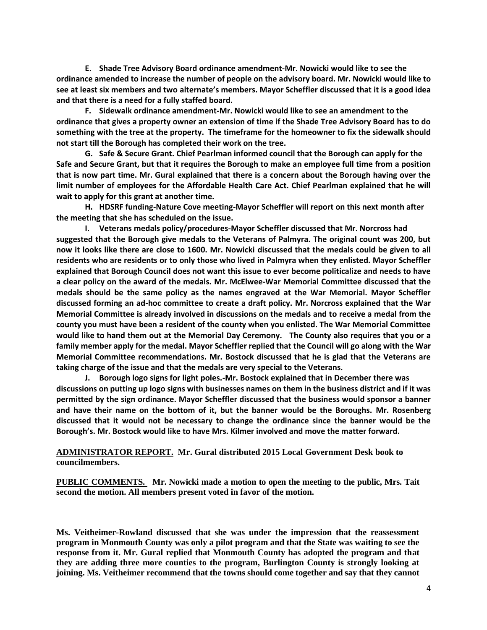**E. Shade Tree Advisory Board ordinance amendment-Mr. Nowicki would like to see the ordinance amended to increase the number of people on the advisory board. Mr. Nowicki would like to see at least six members and two alternate's members. Mayor Scheffler discussed that it is a good idea and that there is a need for a fully staffed board.** 

**F. Sidewalk ordinance amendment-Mr. Nowicki would like to see an amendment to the ordinance that gives a property owner an extension of time if the Shade Tree Advisory Board has to do something with the tree at the property. The timeframe for the homeowner to fix the sidewalk should not start till the Borough has completed their work on the tree.** 

**G. Safe & Secure Grant. Chief Pearlman informed council that the Borough can apply for the Safe and Secure Grant, but that it requires the Borough to make an employee full time from a position that is now part time. Mr. Gural explained that there is a concern about the Borough having over the limit number of employees for the Affordable Health Care Act. Chief Pearlman explained that he will wait to apply for this grant at another time.**

**H. HDSRF funding-Nature Cove meeting-Mayor Scheffler will report on this next month after the meeting that she has scheduled on the issue.**

**I. Veterans medals policy/procedures-Mayor Scheffler discussed that Mr. Norcross had suggested that the Borough give medals to the Veterans of Palmyra. The original count was 200, but now it looks like there are close to 1600. Mr. Nowicki discussed that the medals could be given to all residents who are residents or to only those who lived in Palmyra when they enlisted. Mayor Scheffler explained that Borough Council does not want this issue to ever become politicalize and needs to have a clear policy on the award of the medals. Mr. McElwee-War Memorial Committee discussed that the medals should be the same policy as the names engraved at the War Memorial. Mayor Scheffler discussed forming an ad-hoc committee to create a draft policy. Mr. Norcross explained that the War Memorial Committee is already involved in discussions on the medals and to receive a medal from the county you must have been a resident of the county when you enlisted. The War Memorial Committee would like to hand them out at the Memorial Day Ceremony. The County also requires that you or a family member apply for the medal. Mayor Scheffler replied that the Council will go along with the War Memorial Committee recommendations. Mr. Bostock discussed that he is glad that the Veterans are taking charge of the issue and that the medals are very special to the Veterans.** 

**J. Borough logo signs for light poles.-Mr. Bostock explained that in December there was discussions on putting up logo signs with businesses names on them in the business district and if it was permitted by the sign ordinance. Mayor Scheffler discussed that the business would sponsor a banner and have their name on the bottom of it, but the banner would be the Boroughs. Mr. Rosenberg discussed that it would not be necessary to change the ordinance since the banner would be the Borough's. Mr. Bostock would like to have Mrs. Kilmer involved and move the matter forward.** 

**ADMINISTRATOR REPORT. Mr. Gural distributed 2015 Local Government Desk book to councilmembers.** 

**PUBLIC COMMENTS. Mr. Nowicki made a motion to open the meeting to the public, Mrs. Tait second the motion. All members present voted in favor of the motion.**

**Ms. Veitheimer-Rowland discussed that she was under the impression that the reassessment program in Monmouth County was only a pilot program and that the State was waiting to see the response from it. Mr. Gural replied that Monmouth County has adopted the program and that they are adding three more counties to the program, Burlington County is strongly looking at joining. Ms. Veitheimer recommend that the towns should come together and say that they cannot**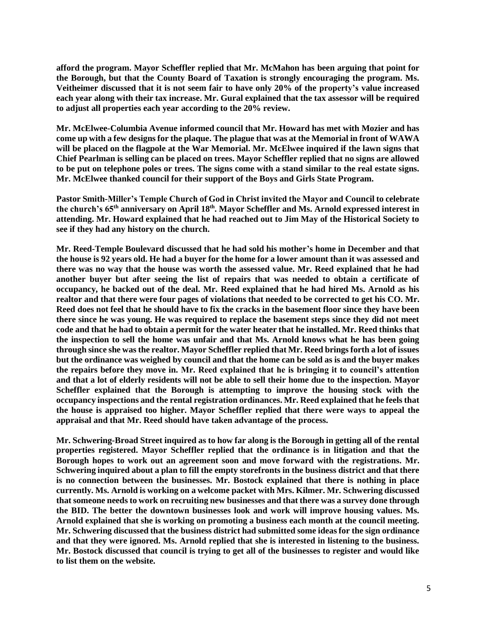**afford the program. Mayor Scheffler replied that Mr. McMahon has been arguing that point for the Borough, but that the County Board of Taxation is strongly encouraging the program. Ms. Veitheimer discussed that it is not seem fair to have only 20% of the property's value increased each year along with their tax increase. Mr. Gural explained that the tax assessor will be required to adjust all properties each year according to the 20% review.** 

**Mr. McElwee-Columbia Avenue informed council that Mr. Howard has met with Mozier and has come up with a few designs for the plaque. The plague that was at the Memorial in front of WAWA will be placed on the flagpole at the War Memorial. Mr. McElwee inquired if the lawn signs that Chief Pearlman is selling can be placed on trees. Mayor Scheffler replied that no signs are allowed to be put on telephone poles or trees. The signs come with a stand similar to the real estate signs. Mr. McElwee thanked council for their support of the Boys and Girls State Program.**

**Pastor Smith-Miller's Temple Church of God in Christ invited the Mayor and Council to celebrate the church's 65th anniversary on April 18th. Mayor Scheffler and Ms. Arnold expressed interest in attending. Mr. Howard explained that he had reached out to Jim May of the Historical Society to see if they had any history on the church.** 

**Mr. Reed-Temple Boulevard discussed that he had sold his mother's home in December and that the house is 92 years old. He had a buyer for the home for a lower amount than it was assessed and there was no way that the house was worth the assessed value. Mr. Reed explained that he had another buyer but after seeing the list of repairs that was needed to obtain a certificate of occupancy, he backed out of the deal. Mr. Reed explained that he had hired Ms. Arnold as his realtor and that there were four pages of violations that needed to be corrected to get his CO. Mr. Reed does not feel that he should have to fix the cracks in the basement floor since they have been there since he was young. He was required to replace the basement steps since they did not meet code and that he had to obtain a permit for the water heater that he installed. Mr. Reed thinks that the inspection to sell the home was unfair and that Ms. Arnold knows what he has been going through since she was the realtor. Mayor Scheffler replied that Mr. Reed brings forth a lot of issues but the ordinance was weighed by council and that the home can be sold as is and the buyer makes the repairs before they move in. Mr. Reed explained that he is bringing it to council's attention and that a lot of elderly residents will not be able to sell their home due to the inspection. Mayor Scheffler explained that the Borough is attempting to improve the housing stock with the occupancy inspections and the rental registration ordinances. Mr. Reed explained that he feels that the house is appraised too higher. Mayor Scheffler replied that there were ways to appeal the appraisal and that Mr. Reed should have taken advantage of the process.** 

**Mr. Schwering-Broad Street inquired as to how far along is the Borough in getting all of the rental properties registered. Mayor Scheffler replied that the ordinance is in litigation and that the Borough hopes to work out an agreement soon and move forward with the registrations. Mr. Schwering inquired about a plan to fill the empty storefronts in the business district and that there is no connection between the businesses. Mr. Bostock explained that there is nothing in place currently. Ms. Arnold is working on a welcome packet with Mrs. Kilmer. Mr. Schwering discussed that someone needs to work on recruiting new businesses and that there was a survey done through the BID. The better the downtown businesses look and work will improve housing values. Ms. Arnold explained that she is working on promoting a business each month at the council meeting. Mr. Schwering discussed that the business district had submitted some ideas for the sign ordinance and that they were ignored. Ms. Arnold replied that she is interested in listening to the business. Mr. Bostock discussed that council is trying to get all of the businesses to register and would like to list them on the website.**